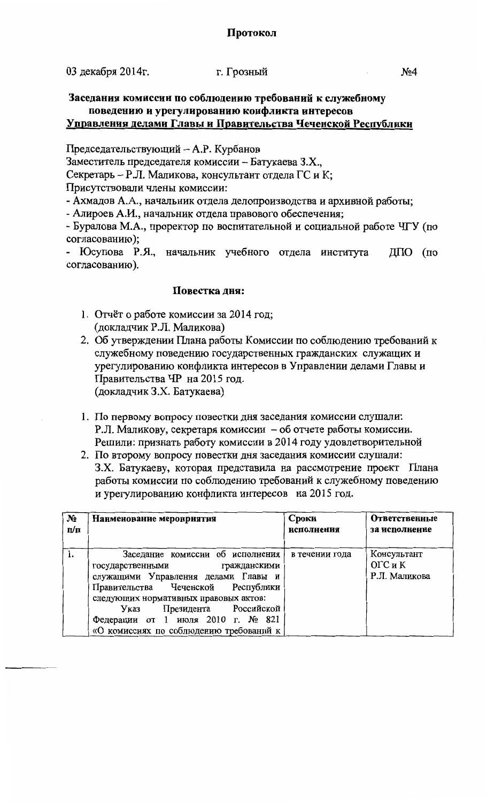03 декабря 2014г.

## г. Грозный

## Заседания комиссии по соблюдению требований к служебному поведению и урегулированию конфликта интересов Управления делами Главы и Правительства Чеченской Республики

Председательствующий - А.Р. Курбанов

Заместитель председателя комиссии - Батукаева З.Х.,

Секретарь - Р.Л. Маликова, консультант отдела ГС и К;

Присутствовали члены комиссии:

- Ахмадов А.А., начальник отдела делопроизводства и архивной работы;

- Алироев А.И., начальник отдела правового обеспечения;

- Буралова М.А., проректор по воспитательной и социальной работе ЧГУ (по согласованию);

- Юсупова Р.Я., начальник учебного отдела института  $\text{MIO}$  (по согласованию).

## Повестка дня:

- 1. Отчёт о работе комиссии за 2014 год; (докладчик Р.Л. Маликова)
- 2. Об утверждении Плана работы Комиссии по соблюдению требований к служебному поведению государственных гражданских служащих и урегулированию конфликта интересов в Управлении делами Главы и Правительства ЧР на 2015 год. (докладчик З.Х. Батукаева)
- 1. По первому вопросу повестки дня заседания комиссии слушали: Р.Л. Маликову, секретаря комиссии - об отчете работы комиссии. Решили: признать работу комиссии в 2014 году удовлетворительной
- 2. По второму вопросу повестки дня заседания комиссии слушали: З.Х. Батукаеву, которая представила на рассмотрение проект Плана работы комиссии по соблюдению требований к служебному поведению и урегулированию конфликта интересов на 2015 год.

| N <sub>2</sub> | Наименование мероприятия                                                  | Сроки          | <b>Ответственные</b>     |
|----------------|---------------------------------------------------------------------------|----------------|--------------------------|
| n/n            |                                                                           | исполнения     | за исполнение            |
| 1.             | Заседание комиссии об исполнения                                          | в течении года | Консультант              |
|                | государственными<br>гражданскими                                          |                | ОГС и К<br>Р.Л. Маликова |
|                | служащими Управления делами Главы и<br>Правительства Чеченской Республики |                |                          |
|                | следующих нормативных правовых актов:                                     |                |                          |
|                | Президента Российской<br>Указ<br>Федерации от 1 июля 2010 г. № 821        |                |                          |
|                | «О комиссиях по соблюдению требований к                                   |                |                          |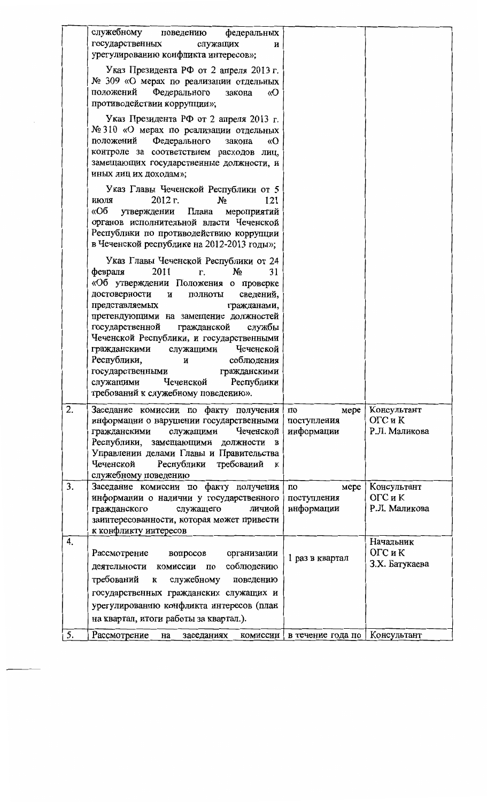|    | служебному<br>федеральных<br>поведению<br>государственных<br>служащих<br>и<br>урегулированию конфликта интересов»;                                                                                                                                                                                                                                                                                                                                                                                                                |                                                      |                                         |
|----|-----------------------------------------------------------------------------------------------------------------------------------------------------------------------------------------------------------------------------------------------------------------------------------------------------------------------------------------------------------------------------------------------------------------------------------------------------------------------------------------------------------------------------------|------------------------------------------------------|-----------------------------------------|
|    | Указ Президента РФ от 2 апреля 2013 г.<br>№ 309 «О мерах по реализации отдельных<br>Федерального<br>положений<br>«O<br>закона<br>противодействии коррупции»;                                                                                                                                                                                                                                                                                                                                                                      |                                                      |                                         |
|    | Указ Президента РФ от 2 апреля 2013 г.<br>№ 310 «О мерах по реализации отдельных<br>Федерального<br>положений<br>«O<br>закона<br>контроле за соответствием расходов лиц,<br>замещающих государственные должности, и<br>иных лиц их доходам»;                                                                                                                                                                                                                                                                                      |                                                      |                                         |
|    | Указ Главы Чеченской Республики от 5<br>$2012$ r.<br>N <sub>2</sub><br>121<br>июля<br>«Об<br>Плана<br>утверждении<br>мероприятий<br>органов исполнительной власти Чеченской<br>Республики по противодействию коррупции<br>в Чеченской республике на 2012-2013 годы»;                                                                                                                                                                                                                                                              |                                                      |                                         |
|    | Указ Главы Чеченской Республики от 24<br>2011<br>$N_2$<br>31<br>февраля<br>r.<br>«Об утверждении Положения о проверке<br>достоверности<br>сведений,<br>и<br>полноты<br>представляемых<br>гражданами,<br>претендующими на замещение должностей<br>гражданской<br>государственной<br>службы<br>Чеченской Республики, и государственными<br>Чеченской<br>гражданскими<br>служащими<br>Республики,<br>соблюдения<br>и<br>государственными<br>гражданскими<br>Чеченской Республики<br>служащими<br>требований к служебному поведению». |                                                      |                                         |
| 2. | Заседание комиссии по факту получения<br>информации о нарушении государственными<br>Чеченской<br>служащими<br>гражданскими<br>Республики,<br>замещающими должности в<br>Управлении делами Главы и Правительства<br>требований<br>Чеченской<br>Республики<br>К<br>служебному поведению                                                                                                                                                                                                                                             | мере<br>по<br>поступления<br>информации              | Консультант<br>ОГС и К<br>Р.Л. Маликова |
| 3. | Заседание комиссии по факту получения<br>информации о наличии у государственного<br>личной<br>служащего<br>гражданского<br>заинтересованности, которая может привести<br>к конфликту интересов                                                                                                                                                                                                                                                                                                                                    | мере<br>$\overline{10}$<br>поступления<br>информации | Консультант<br>ОГС и К<br>Р.Л. Маликова |
| 4. | Рассмотрение<br>вопросов<br>организации<br>соблюдению<br>деятельности комиссии по<br>требований<br>служебному<br>$\bf K$<br>поведению<br>государственных гражданских служащих и<br>урегулированию конфликта интересов (план<br>на квартал, итоги работы за квартал.).                                                                                                                                                                                                                                                             | 1 раз в квартал                                      | Начальник<br>ОГС и К<br>З.Х. Батукаева  |
| 5. | Рассмотрение<br>заседаниях<br>на                                                                                                                                                                                                                                                                                                                                                                                                                                                                                                  | комиссии   в течение года по   Консультант           |                                         |

 $\ddot{\phantom{a}}$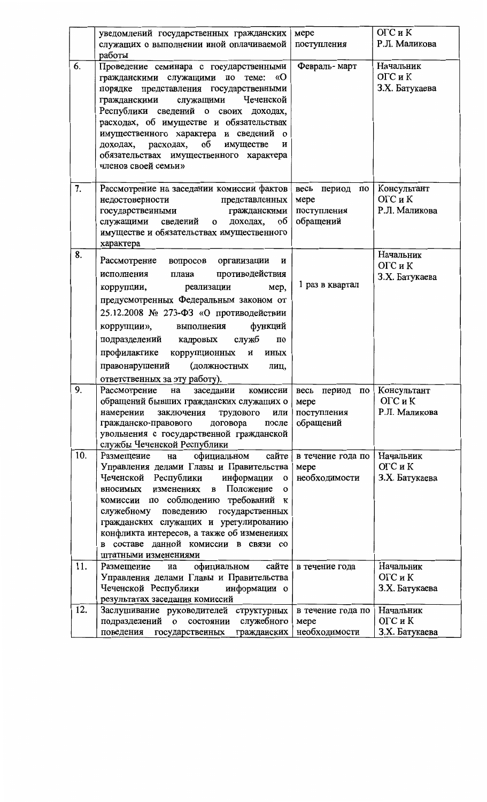|     | уведомлений государственных гражданских                                                                                                                                                                                                                                                                                                                                                                                                            | мере                                                               | ОГС и К                                 |
|-----|----------------------------------------------------------------------------------------------------------------------------------------------------------------------------------------------------------------------------------------------------------------------------------------------------------------------------------------------------------------------------------------------------------------------------------------------------|--------------------------------------------------------------------|-----------------------------------------|
|     | служащих о выполнении иной оплачиваемой<br>работы                                                                                                                                                                                                                                                                                                                                                                                                  | поступления                                                        | Р.Л. Маликова                           |
| 6.  | Проведение семинара с государственными<br>гражданскими служащими по теме: «О<br>порядке представления государственными<br>гражданскими служащими<br>Чеченской<br>Республики сведений о своих доходах,<br>расходах, об имуществе и обязательствах<br>имущественного характера и сведений о<br>доходах, расходах, об имуществе<br>и<br>обязательствах имущественного характера<br>членов своей семьи»                                                | Февраль-март                                                       | Начальник<br>ОГС и К<br>З.Х. Батукаева  |
| 7.  | Рассмотрение на заседании комиссии фактов<br>представленных<br>недостоверности<br>государственными гражданскими<br>служащими сведений о доходах,<br>об<br>имуществе и обязательствах имущественного<br>характера                                                                                                                                                                                                                                   | весь период<br>по<br>мере<br>поступления<br>обращений              | Консультант<br>ОГС и К<br>Р.Л. Маликова |
| 8.  | Рассмотрение<br>вопросов организации<br>и<br>противодействия<br>плана<br>исполнения<br>мер,<br>реализации<br>коррупции,<br>предусмотренных Федеральным законом от<br>25.12.2008 № 273-ФЗ «О противодействии<br>функций<br>коррупции»,<br>выполнения<br>служб<br>подразделений кадровых<br>по<br>профилактике коррупционных и иных<br>(должностных<br>правонарушений<br>лиц,<br>ответственных за эту работу).                                       | 1 раз в квартал                                                    | Начальник<br>ОГС и К<br>З.Х. Батукаева  |
| 9.  | Рассмотрение<br>на<br>заседании<br>комиссии<br>обращений бывших гражданских служащих о<br>заключения<br>трудового<br>намерении<br>или<br>гражданско-правового<br>договора<br>после<br>увольнения с государственной гражданской<br>службы Чеченской Республики                                                                                                                                                                                      | весь период<br>$\overline{10}$<br>мере<br>поступления<br>обращений | Консультант<br>ОГС и К<br>Р.Л. Маликова |
| 10. | сайте<br>официальном<br>Размещение<br>на<br>Управления делами Главы и Правительства<br>Чеченской Республики<br>информации<br>$\mathbf{o}$<br>Положение<br>изменениях<br>вносимых<br>$\mathbf{B}$<br>O<br>соблюдению требований<br>комиссии по<br>К<br>поведению государственных<br>служебному<br>гражданских служащих и урегулированию<br>конфликта интересов, а также об изменениях<br>составе данной комиссии в связи со<br>штатными изменениями | в течение года по<br>мере<br>необходимости                         | Начальник<br>ОГС и К<br>З.Х. Батукаева  |
| 11. | сайте<br>официальном<br>Размещение<br>на<br>Управления делами Главы и Правительства<br>Чеченской Республики<br>информации о<br>результатах заседания комиссий                                                                                                                                                                                                                                                                                      | в течение года                                                     | Начальник<br>ОГС и К<br>З.Х. Батукаева  |
| 12. | Заслушивание руководителей структурных<br>служебного<br>подразделений о<br>состоянии<br>гражданских<br>поведения<br>государственных                                                                                                                                                                                                                                                                                                                | в течение года по<br>мере<br>необходимости                         | Начальник<br>ОГС и К<br>З.Х. Батукаева  |